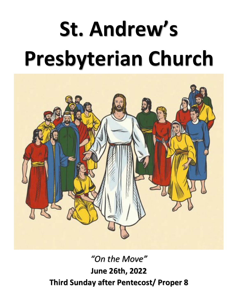# **St. Andrew's Presbyterian Church**



*"On the Move"* **June 26th, 2022 Third Sunday after Pentecost/ Proper 8**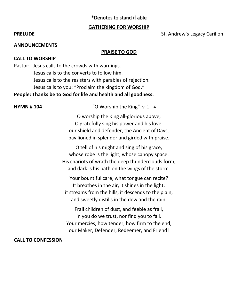# \*Denotes to stand if able

### **GATHERING FOR WORSHIP**

### **ANNOUNCEMENTS**

### **PRAISE TO GOD**

### **CALL TO WORSHIP**

Pastor: Jesus calls to the crowds with warnings. Jesus calls to the converts to follow him. Jesus calls to the resisters with parables of rejection. Jesus calls to you: "Proclaim the kingdom of God."

**People: Thanks be to God for life and health and all goodness.**

**HYMN # 104** "O Worship the King" v. 1 – 4

O worship the King all-glorious above, O gratefully sing his power and his love: our shield and defender, the Ancient of Days, pavilioned in splendor and girded with praise.

O tell of his might and sing of his grace, whose robe is the light, whose canopy space. His chariots of wrath the deep thunderclouds form, and dark is his path on the wings of the storm.

Your bountiful care, what tongue can recite? It breathes in the air, it shines in the light; it streams from the hills, it descends to the plain, and sweetly distills in the dew and the rain.

Frail children of dust, and feeble as frail, in you do we trust, nor find you to fail. Your mercies, how tender, how firm to the end, our Maker, Defender, Redeemer, and Friend!

### **CALL TO CONFESSION**

### **PRELUDE** St. Andrew's Legacy Carillon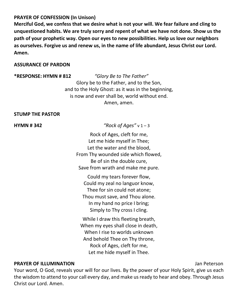# **PRAYER OF CONFESSION (In Unison)**

**Merciful God, we confess that we desire what is not your will. We fear failure and cling to unquestioned habits. We are truly sorry and repent of what we have not done. Show us the path of your prophetic way. Open our eyes to new possibilities. Help us love our neighbors as ourselves. Forgive us and renew us, in the name of life abundant, Jesus Christ our Lord. Amen.**

# **ASSURANCE OF PARDON**

**\*RESPONSE: HYMN # 812** *"Glory Be to The Father"* Glory be to the Father, and to the Son, and to the Holy Ghost: as it was in the beginning, is now and ever shall be, world without end. Amen, amen.

# **STUMP THE PASTOR**

**HYMN # 342** *"Rock of Ages"* v 1 – 3

Rock of Ages, cleft for me, Let me hide myself in Thee; Let the water and the blood, From Thy wounded side which flowed, Be of sin the double cure, Save from wrath and make me pure.

Could my tears forever flow, Could my zeal no languor know, Thee for sin could not atone; Thou must save, and Thou alone. In my hand no price I bring; Simply to Thy cross I cling.

While I draw this fleeting breath, When my eyes shall close in death, When I rise to worlds unknown And behold Thee on Thy throne, Rock of Ages, cleft for me, Let me hide myself in Thee.

# **PRAYER OF ILLUMINATION** Jan Peterson

Your word, O God, reveals your will for our lives. By the power of your Holy Spirit, give us each the wisdom to attend to your call every day, and make us ready to hear and obey. Through Jesus Christ our Lord. Amen.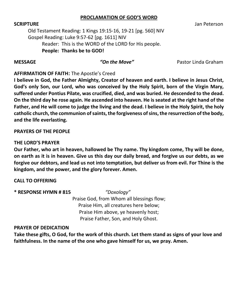# **PROCLAMATION OF GOD'S WORD**

Old Testament Reading: 1 Kings 19:15-16, 19-21 [pg. 560] NIV Gospel Reading: Luke 9:57-62 [pg. 1611] NIV Reader: This is the WORD of the LORD for His people. **People: Thanks be to GOD!**

**MESSAGE** *"On the Move"* Pastor Linda Graham

# **AFFIRMATION OF FAITH:** The Apostle's Creed

**I believe in God, the Father Almighty, Creator of heaven and earth. I believe in Jesus Christ, God's only Son, our Lord, who was conceived by the Holy Spirit, born of the Virgin Mary, suffered under Pontius Pilate, was crucified, died, and was buried. He descended to the dead. On the third day he rose again. He ascended into heaven. He is seated at the right hand of the Father, and He will come to judge the living and the dead. I believe in the Holy Spirit, the holy catholic church, the communion of saints, the forgiveness of sins, the resurrection of the body, and the life everlasting.**

# **PRAYERS OF THE PEOPLE**

# **THE LORD'S PRAYER**

**Our Father, who art in heaven, hallowed be Thy name. Thy kingdom come, Thy will be done, on earth as it is in heaven. Give us this day our daily bread, and forgive us our debts, as we forgive our debtors, and lead us not into temptation, but deliver us from evil. For Thine is the kingdom, and the power, and the glory forever. Amen.**

# **CALL TO OFFERING**

# **\* RESPONSE HYMN # 815** *"Doxology"*

Praise God, from Whom all blessings flow;

Praise Him, all creatures here below; Praise Him above, ye heavenly host; Praise Father, Son, and Holy Ghost.

# **PRAYER OF DEDICATION**

**Take these gifts, O God, for the work of this church. Let them stand as signs of your love and faithfulness. In the name of the one who gave himself for us, we pray. Amen.**

**SCRIPTURE** Jan Peterson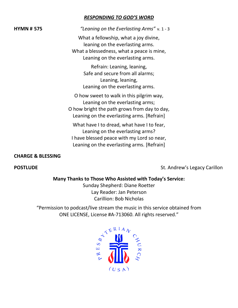# *RESPONDING TO GOD'S WORD*

**HYMN # 575** *"Leaning on the Everlasting Arms"* v. 1 - 3

What a fellowship, what a joy divine, leaning on the everlasting arms. What a blessedness, what a peace is mine, Leaning on the everlasting arms.

> Refrain: Leaning, leaning, Safe and secure from all alarms; Leaning, leaning, Leaning on the everlasting arms.

O how sweet to walk in this pilgrim way, Leaning on the everlasting arms; O how bright the path grows from day to day, Leaning on the everlasting arms. [Refrain]

What have I to dread, what have I to fear, Leaning on the everlasting arms? I have blessed peace with my Lord so near, Leaning on the everlasting arms. [Refrain]

# **CHARGE & BLESSING**

**POSTLUDE POSTLUDE St. Andrew's Legacy Carillon** 

# **Many Thanks to Those Who Assisted with Today's Service:**

Sunday Shepherd: Diane Roetter Lay Reader: Jan Peterson Carillion: Bob Nicholas

"Permission to podcast/live stream the music in this service obtained from ONE LICENSE, License #A-713060. All rights reserved."